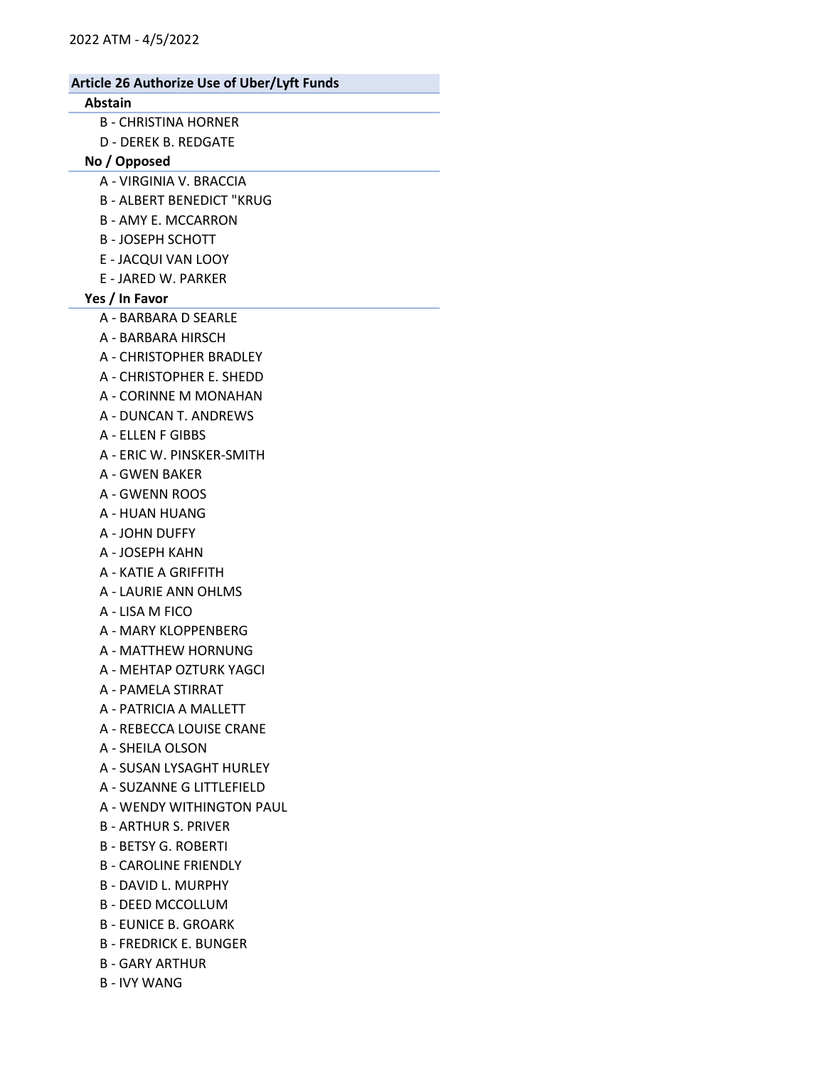#### Abstain

- B CHRISTINA HORNER
- D DEREK B. REDGATE

### No / Opposed

- A VIRGINIA V. BRACCIA
- B ALBERT BENEDICT "KRUG
- B AMY E. MCCARRON
- B JOSEPH SCHOTT
- E JACQUI VAN LOOY
- E JARED W. PARKER

## Yes / In Favor

- A BARBARA D SEARLE
- A BARBARA HIRSCH
- A CHRISTOPHER BRADLEY
- A CHRISTOPHER E. SHEDD
- A CORINNE M MONAHAN
- A DUNCAN T. ANDREWS
- A ELLEN F GIBBS
- A ERIC W. PINSKER-SMITH
- A GWEN BAKER
- A GWENN ROOS
- A HUAN HUANG
- A JOHN DUFFY
- A JOSEPH KAHN
- A KATIE A GRIFFITH
- A LAURIE ANN OHLMS
- A LISA M FICO
- A MARY KLOPPENBERG
- A MATTHEW HORNUNG
- A MEHTAP OZTURK YAGCI
- A PAMELA STIRRAT
- A PATRICIA A MALLETT
- A REBECCA LOUISE CRANE
- A SHEILA OLSON
- A SUSAN LYSAGHT HURLEY
- A SUZANNE G LITTLEFIELD
- A WENDY WITHINGTON PAUL
- B ARTHUR S. PRIVER
- B BETSY G. ROBERTI
- B CAROLINE FRIENDLY
- B DAVID L. MURPHY
- B DEED MCCOLLUM
- B EUNICE B. GROARK
- B FREDRICK E. BUNGER
- B GARY ARTHUR
- B IVY WANG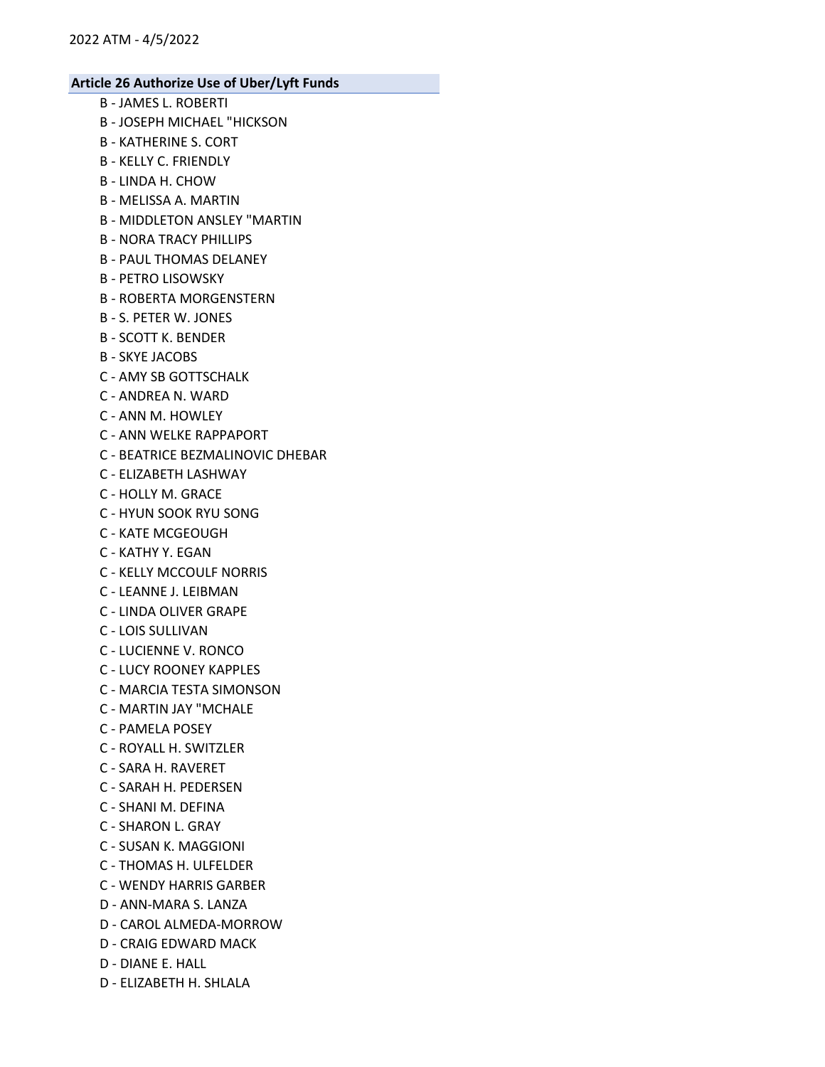- B JAMES L. ROBERTI
- B JOSEPH MICHAEL "HICKSON
- B KATHERINE S. CORT
- B KELLY C. FRIENDLY
- B LINDA H. CHOW
- B MELISSA A. MARTIN
- B MIDDLETON ANSLEY "MARTIN
- B NORA TRACY PHILLIPS
- B PAUL THOMAS DELANEY
- B PETRO LISOWSKY
- B ROBERTA MORGENSTERN
- B S. PETER W. JONES
- B SCOTT K. BENDER
- B SKYE JACOBS
- C AMY SB GOTTSCHALK
- C ANDREA N. WARD
- C ANN M. HOWLEY
- C ANN WELKE RAPPAPORT
- C BEATRICE BEZMALINOVIC DHEBAR
- C ELIZABETH LASHWAY
- C HOLLY M. GRACE
- C HYUN SOOK RYU SONG
- C KATE MCGEOUGH
- C KATHY Y. EGAN
- C KELLY MCCOULF NORRIS
- C LEANNE J. LEIBMAN
- C LINDA OLIVER GRAPE
- C LOIS SULLIVAN
- C LUCIENNE V. RONCO
- C LUCY ROONEY KAPPLES
- C MARCIA TESTA SIMONSON
- C MARTIN JAY "MCHALE
- C PAMELA POSEY
- C ROYALL H. SWITZLER
- C SARA H. RAVERET
- C SARAH H. PEDERSEN
- C SHANI M. DEFINA
- C SHARON L. GRAY
- C SUSAN K. MAGGIONI
- C THOMAS H. ULFELDER
- C WENDY HARRIS GARBER
- D ANN-MARA S. LANZA
- D CAROL ALMEDA-MORROW
- D CRAIG EDWARD MACK
- D DIANE E. HALL
- D ELIZABETH H. SHLALA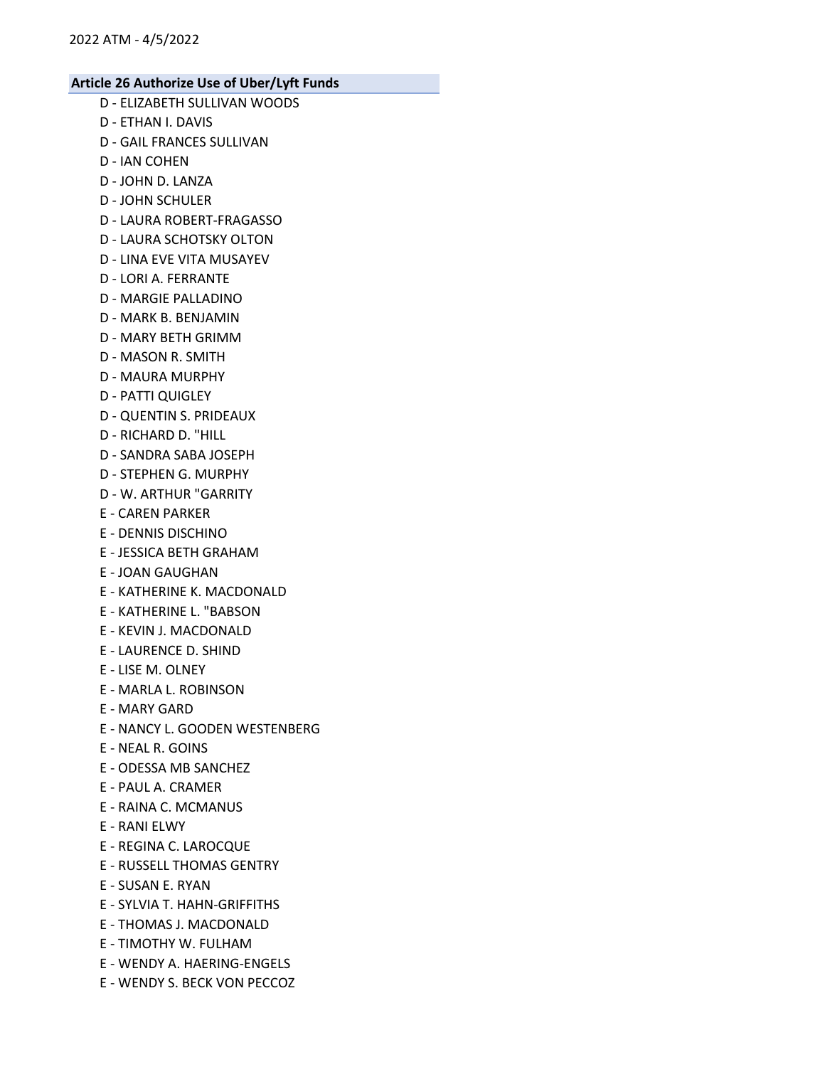- D ELIZABETH SULLIVAN WOODS
- D ETHAN I. DAVIS
- D GAIL FRANCES SULLIVAN
- D IAN COHEN
- D JOHN D. LANZA
- D JOHN SCHULER
- D LAURA ROBERT-FRAGASSO
- D LAURA SCHOTSKY OLTON
- D LINA EVE VITA MUSAYEV
- D LORI A. FERRANTE
- D MARGIE PALLADINO
- D MARK B. BENJAMIN
- D MARY BETH GRIMM
- D MASON R. SMITH
- D MAURA MURPHY
- D PATTI QUIGLEY
- D QUENTIN S. PRIDEAUX
- D RICHARD D. "HILL
- D SANDRA SABA JOSEPH
- D STEPHEN G. MURPHY
- D W. ARTHUR "GARRITY
- E CAREN PARKER
- E DENNIS DISCHINO
- E JESSICA BETH GRAHAM
- E JOAN GAUGHAN
- E KATHERINE K. MACDONALD
- E KATHERINE L. "BABSON
- E KEVIN J. MACDONALD
- E LAURENCE D. SHIND
- E LISE M. OLNEY
- E MARLA L. ROBINSON
- E MARY GARD
- E NANCY L. GOODEN WESTENBERG
- E NEAL R. GOINS
- E ODESSA MB SANCHEZ
- E PAUL A. CRAMER
- E RAINA C. MCMANUS
- E RANI ELWY
- E REGINA C. LAROCQUE
- E RUSSELL THOMAS GENTRY
- E SUSAN E. RYAN
- E SYLVIA T. HAHN-GRIFFITHS
- E THOMAS J. MACDONALD
- E TIMOTHY W. FULHAM
- E WENDY A. HAERING-ENGELS
- E WENDY S. BECK VON PECCOZ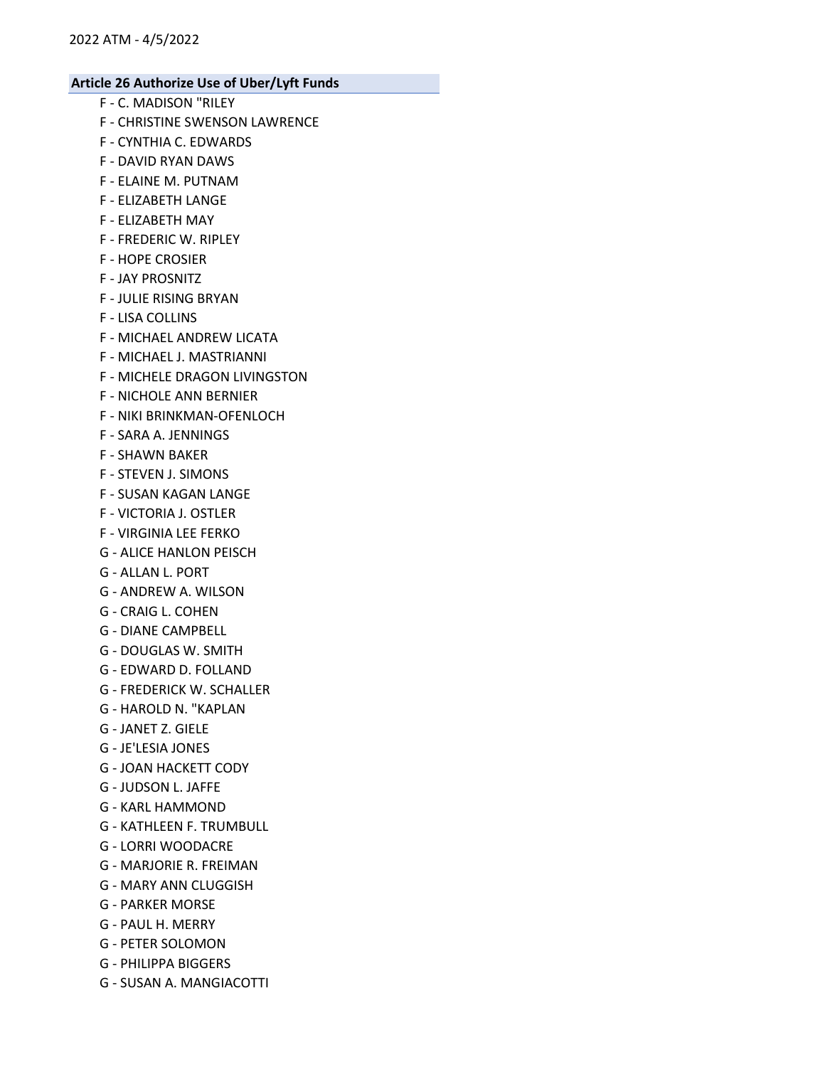- F C. MADISON "RILEY
- F CHRISTINE SWENSON LAWRENCE
- F CYNTHIA C. EDWARDS
- F DAVID RYAN DAWS
- F ELAINE M. PUTNAM
- F ELIZABETH LANGE
- F ELIZABETH MAY
- F FREDERIC W. RIPLEY
- F HOPE CROSIER
- F JAY PROSNITZ
- F JULIE RISING BRYAN
- F LISA COLLINS
- F MICHAEL ANDREW LICATA
- F MICHAEL J. MASTRIANNI
- F MICHELE DRAGON LIVINGSTON
- F NICHOLE ANN BERNIER
- F NIKI BRINKMAN-OFENLOCH
- F SARA A. JENNINGS
- F SHAWN BAKER
- F STEVEN J. SIMONS
- F SUSAN KAGAN LANGE
- F VICTORIA J. OSTLER
- F VIRGINIA LEE FERKO
- G ALICE HANLON PEISCH
- G ALLAN L. PORT
- G ANDREW A. WILSON
- G CRAIG L. COHEN
- G DIANE CAMPBELL
- G DOUGLAS W. SMITH
- G EDWARD D. FOLLAND
- G FREDERICK W. SCHALLER
- G HAROLD N. "KAPLAN
- G JANET Z. GIELE
- G JE'LESIA JONES
- G JOAN HACKETT CODY
- G JUDSON L. JAFFE
- G KARL HAMMOND
- G KATHLEEN F. TRUMBULL
- G LORRI WOODACRE
- G MARJORIE R. FREIMAN
- G MARY ANN CLUGGISH
- G PARKER MORSE
- G PAUL H. MERRY
- G PETER SOLOMON
- G PHILIPPA BIGGERS
- G SUSAN A. MANGIACOTTI